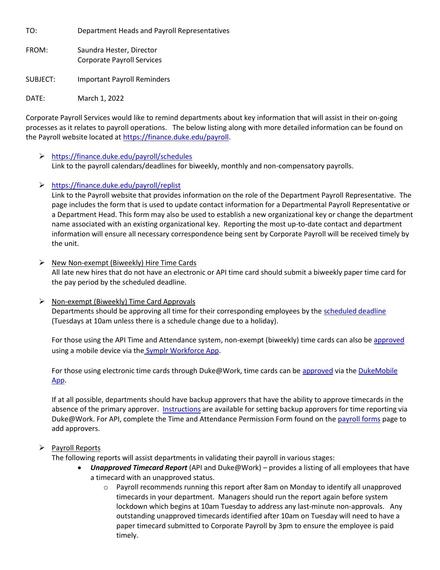TO: Department Heads and Payroll Representatives

FROM: Saundra Hester, Director Corporate Payroll Services

SUBJECT: Important Payroll Reminders

DATE: March 1, 2022

Corporate Payroll Services would like to remind departments about key information that will assist in their on-going processes as it relates to payroll operations. The below listing along with more detailed information can be found on the Payroll website located at [https://finance.duke.edu/payroll.](https://finance.duke.edu/payroll)

# <https://finance.duke.edu/payroll/schedules>

Link to the payroll calendars/deadlines for biweekly, monthly and non-compensatory payrolls.

<https://finance.duke.edu/payroll/replist>

Link to the Payroll website that provides information on the role of the Department Payroll Representative. The page includes the form that is used to update contact information for a Departmental Payroll Representative or a Department Head. This form may also be used to establish a new organizational key or change the department name associated with an existing organizational key. Reporting the most up-to-date contact and department information will ensure all necessary correspondence being sent by Corporate Payroll will be received timely by the unit.

- $\triangleright$  New Non-exempt (Biweekly) Hire Time Cards All late new hires that do not have an electronic or API time card should submit a biweekly paper time card for the pay period by the scheduled deadline.
- $\triangleright$  Non-exempt (Biweekly) Time Card Approvals Departments should be approving all time for their corresponding employees by th[e scheduled](https://resources.finance.duke.edu/payroll/schedules/2022_Biweekly_Payroll_Schedule_for_Payroll_Representatives.pdf) deadline (Tuesdays at 10am unless there is a schedule change due to a holiday).

For those using the API Time and Attendance system, non-exempt (biweekly) time cards can also be [approved](https://resources.finance.duke.edu/resources/training/payroll/ApprovingNonExemptEmployees.pdf) using a mobile device via the [Symplr Workforce App.](https://resources.finance.duke.edu/resources/training/payroll/DownloadingLoggingIn.pdf)

For those using electronic time cards through Duke@Work, time cards can be [approved](https://resources.finance.duke.edu/resources/training/payroll/ApprovingBiweeklyTimeReports.pdf) via the DukeMobile [App.](https://oit.duke.edu/what-we-do/applications/dukemobile)

If at all possible, departments should have backup approvers that have the ability to approve timecards in the absence of the primary approver. [Instructions](https://resources.finance.duke.edu/payroll/policies/policy/MaintainingApprovers.pdf) are available for setting backup approvers for time reporting via Duke@Work. For API, complete the Time and Attendance Permission Form found on the [payroll forms](https://resources.finance.duke.edu/payroll/policies/policy/MaintainingApprovers.pdf) page to add approvers.

# $\triangleright$  Payroll Reports

The following reports will assist departments in validating their payroll in various stages:

- *Unapproved Timecard Report* (API and Duke@Work) provides a listing of all employees that have a timecard with an unapproved status.
	- o Payroll recommends running this report after 8am on Monday to identify all unapproved timecards in your department. Managers should run the report again before system lockdown which begins at 10am Tuesday to address any last-minute non-approvals. Any outstanding unapproved timecards identified after 10am on Tuesday will need to have a paper timecard submitted to Corporate Payroll by 3pm to ensure the employee is paid timely.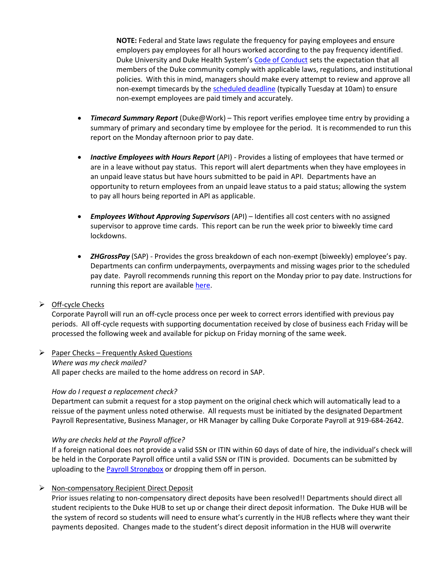**NOTE:** Federal and State laws regulate the frequency for paying employees and ensure employers pay employees for all hours worked according to the pay frequency identified. Duke University and Duke Health System's [Code of Conduct](https://oarc.duke.edu/sites/default/files/documents/Code%20of%20Conduct%20-%20BoT%20Endorsed%20-%20December%201%202018.pdf#:~:text=CODE%20OF%20CONDUCT%20Responsibility%20to%20Comply%20with%20Laws%2C,seek%20advice%20when%20regulations%20or%20policies%20are%20unclear) sets the expectation that all members of the Duke community comply with applicable laws, regulations, and institutional policies. With this in mind, managers should make every attempt to review and approve all non-exempt timecards by th[e scheduled deadline](https://resources.finance.duke.edu/payroll/schedules/2022_Biweekly_Payroll_Schedule_for_Payroll_Representatives.pdf) (typically Tuesday at 10am) to ensure non-exempt employees are paid timely and accurately.

- *Timecard Summary Report* (Duke@Work) This report verifies employee time entry by providing a summary of primary and secondary time by employee for the period. It is recommended to run this report on the Monday afternoon prior to pay date.
- *Inactive Employees with Hours Report* (API) Provides a listing of employees that have termed or are in a leave without pay status. This report will alert departments when they have employees in an unpaid leave status but have hours submitted to be paid in API. Departments have an opportunity to return employees from an unpaid leave status to a paid status; allowing the system to pay all hours being reported in API as applicable.
- *Employees Without Approving Supervisors* (API) Identifies all cost centers with no assigned supervisor to approve time cards. This report can be run the week prior to biweekly time card lockdowns.
- *ZHGrossPay* (SAP) Provides the gross breakdown of each non-exempt (biweekly) employee's pay. Departments can confirm underpayments, overpayments and missing wages prior to the scheduled pay date. Payroll recommends running this report on the Monday prior to pay date. Instructions for running this report are available [here.](https://resources.finance.duke.edu/payroll/policies/policy/BiweeklyReportsInstr.pdf)

## $\triangleright$  Off-cycle Checks

Corporate Payroll will run an off-cycle process once per week to correct errors identified with previous pay periods. All off-cycle requests with supporting documentation received by close of business each Friday will be processed the following week and available for pickup on Friday morning of the same week.

 $\triangleright$  Paper Checks – Frequently Asked Questions *Where was my check mailed?*  All paper checks are mailed to the home address on record in SAP.

## *How do I request a replacement check?*

Department can submit a request for a stop payment on the original check which will automatically lead to a reissue of the payment unless noted otherwise. All requests must be initiated by the designated Department Payroll Representative, Business Manager, or HR Manager by calling Duke Corporate Payroll at 919-684-2642.

## *Why are checks held at the Payroll office?*

If a foreign national does not provide a valid SSN or ITIN within 60 days of date of hire, the individual's check will be held in the Corporate Payroll office until a valid SSN or ITIN is provided. Documents can be submitted by uploading to the **Payroll Strongbox** or dropping them off in person.

## $\triangleright$  Non-compensatory Recipient Direct Deposit

Prior issues relating to non-compensatory direct deposits have been resolved!! Departments should direct all student recipients to the Duke HUB to set up or change their direct deposit information. The Duke HUB will be the system of record so students will need to ensure what's currently in the HUB reflects where they want their payments deposited. Changes made to the student's direct deposit information in the HUB will overwrite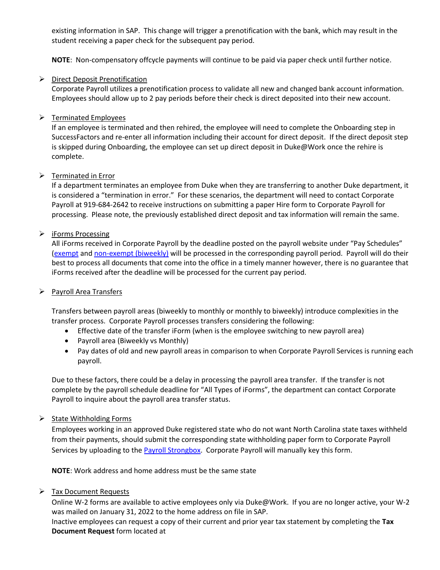existing information in SAP. This change will trigger a prenotification with the bank, which may result in the student receiving a paper check for the subsequent pay period.

**NOTE**: Non-compensatory offcycle payments will continue to be paid via paper check until further notice.

## $\triangleright$  Direct Deposit Prenotification

Corporate Payroll utilizes a prenotification process to validate all new and changed bank account information. Employees should allow up to 2 pay periods before their check is direct deposited into their new account.

## $\triangleright$  Terminated Employees

If an employee is terminated and then rehired, the employee will need to complete the Onboarding step in SuccessFactors and re-enter all information including their account for direct deposit. If the direct deposit step is skipped during Onboarding, the employee can set up direct deposit in Duke@Work once the rehire is complete.

## $\triangleright$  Terminated in Error

If a department terminates an employee from Duke when they are transferring to another Duke department, it is considered a "termination in error." For these scenarios, the department will need to contact Corporate Payroll at 919-684-2642 to receive instructions on submitting a paper Hire form to Corporate Payroll for processing. Please note, the previously established direct deposit and tax information will remain the same.

## > iForms Processing

All iForms received in Corporate Payroll by the deadline posted on the payroll website under "Pay Schedules" [\(exempt](https://resources.finance.duke.edu/payroll/schedules/2022_Monthly_Payroll_Schedule_for_Payroll_Representatives.pdf) and [non-exempt \(biweekly\)](https://resources.finance.duke.edu/payroll/schedules/2022_Biweekly_Payroll_Schedule_for_Payroll_Representatives.pdf) will be processed in the corresponding payroll period. Payroll will do their best to process all documents that come into the office in a timely manner however, there is no guarantee that iForms received after the deadline will be processed for the current pay period.

## $\triangleright$  Payroll Area Transfers

Transfers between payroll areas (biweekly to monthly or monthly to biweekly) introduce complexities in the transfer process. Corporate Payroll processes transfers considering the following:

- Effective date of the transfer iForm (when is the employee switching to new payroll area)
- Payroll area (Biweekly vs Monthly)
- Pay dates of old and new payroll areas in comparison to when Corporate Payroll Services is running each payroll.

Due to these factors, there could be a delay in processing the payroll area transfer. If the transfer is not complete by the payroll schedule deadline for "All Types of iForms", the department can contact Corporate Payroll to inquire about the payroll area transfer status.

## $\triangleright$  State Withholding Forms

Employees working in an approved Duke registered state who do not want North Carolina state taxes withheld from their payments, should submit the corresponding state withholding paper form to Corporate Payroll Services by uploading to the **Payroll Strongbox**. Corporate Payroll will manually key this form.

**NOTE**: Work address and home address must be the same state

## $\triangleright$  Tax Document Requests

Online W-2 forms are available to active employees only via Duke@Work. If you are no longer active, your W-2 was mailed on January 31, 2022 to the home address on file in SAP.

Inactive employees can request a copy of their current and prior year tax statement by completing the **Tax Document Request** form located at